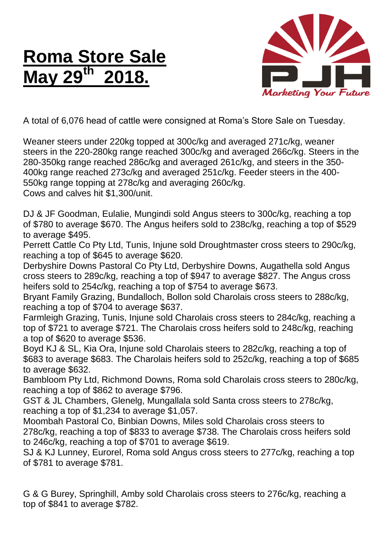## **Roma Store Sale May 29 th 2018.**



A total of 6,076 head of cattle were consigned at Roma's Store Sale on Tuesday.

Weaner steers under 220kg topped at 300c/kg and averaged 271c/kg, weaner steers in the 220-280kg range reached 300c/kg and averaged 266c/kg. Steers in the 280-350kg range reached 286c/kg and averaged 261c/kg, and steers in the 350- 400kg range reached 273c/kg and averaged 251c/kg. Feeder steers in the 400- 550kg range topping at 278c/kg and averaging 260c/kg.

Cows and calves hit \$1,300/unit.

DJ & JF Goodman, Eulalie, Mungindi sold Angus steers to 300c/kg, reaching a top of \$780 to average \$670. The Angus heifers sold to 238c/kg, reaching a top of \$529 to average \$495.

Perrett Cattle Co Pty Ltd, Tunis, Injune sold Droughtmaster cross steers to 290c/kg, reaching a top of \$645 to average \$620.

Derbyshire Downs Pastoral Co Pty Ltd, Derbyshire Downs, Augathella sold Angus cross steers to 289c/kg, reaching a top of \$947 to average \$827. The Angus cross heifers sold to 254c/kg, reaching a top of \$754 to average \$673.

Bryant Family Grazing, Bundalloch, Bollon sold Charolais cross steers to 288c/kg, reaching a top of \$704 to average \$637.

Farmleigh Grazing, Tunis, Injune sold Charolais cross steers to 284c/kg, reaching a top of \$721 to average \$721. The Charolais cross heifers sold to 248c/kg, reaching a top of \$620 to average \$536.

Boyd KJ & SL, Kia Ora, Injune sold Charolais steers to 282c/kg, reaching a top of \$683 to average \$683. The Charolais heifers sold to 252c/kg, reaching a top of \$685 to average \$632.

Bambloom Pty Ltd, Richmond Downs, Roma sold Charolais cross steers to 280c/kg, reaching a top of \$862 to average \$796.

GST & JL Chambers, Glenelg, Mungallala sold Santa cross steers to 278c/kg, reaching a top of \$1,234 to average \$1,057.

Moombah Pastoral Co, Binbian Downs, Miles sold Charolais cross steers to 278c/kg, reaching a top of \$833 to average \$738. The Charolais cross heifers sold to 246c/kg, reaching a top of \$701 to average \$619.

SJ & KJ Lunney, Eurorel, Roma sold Angus cross steers to 277c/kg, reaching a top of \$781 to average \$781.

G & G Burey, Springhill, Amby sold Charolais cross steers to 276c/kg, reaching a top of \$841 to average \$782.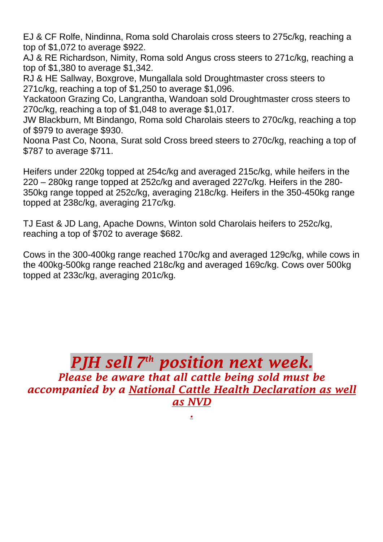EJ & CF Rolfe, Nindinna, Roma sold Charolais cross steers to 275c/kg, reaching a top of \$1,072 to average \$922.

AJ & RE Richardson, Nimity, Roma sold Angus cross steers to 271c/kg, reaching a top of \$1,380 to average \$1,342.

RJ & HE Sallway, Boxgrove, Mungallala sold Droughtmaster cross steers to 271c/kg, reaching a top of \$1,250 to average \$1,096.

Yackatoon Grazing Co, Langrantha, Wandoan sold Droughtmaster cross steers to 270c/kg, reaching a top of \$1,048 to average \$1,017.

JW Blackburn, Mt Bindango, Roma sold Charolais steers to 270c/kg, reaching a top of \$979 to average \$930.

Noona Past Co, Noona, Surat sold Cross breed steers to 270c/kg, reaching a top of \$787 to average \$711.

Heifers under 220kg topped at 254c/kg and averaged 215c/kg, while heifers in the 220 – 280kg range topped at 252c/kg and averaged 227c/kg. Heifers in the 280- 350kg range topped at 252c/kg, averaging 218c/kg. Heifers in the 350-450kg range topped at 238c/kg, averaging 217c/kg.

TJ East & JD Lang, Apache Downs, Winton sold Charolais heifers to 252c/kg, reaching a top of \$702 to average \$682.

Cows in the 300-400kg range reached 170c/kg and averaged 129c/kg, while cows in the 400kg-500kg range reached 218c/kg and averaged 169c/kg. Cows over 500kg topped at 233c/kg, averaging 201c/kg.

## *PJH sell 7 th position next week.*

*Please be aware that all cattle being sold must be accompanied by a National Cattle Health Declaration as well as NVD*

*.*